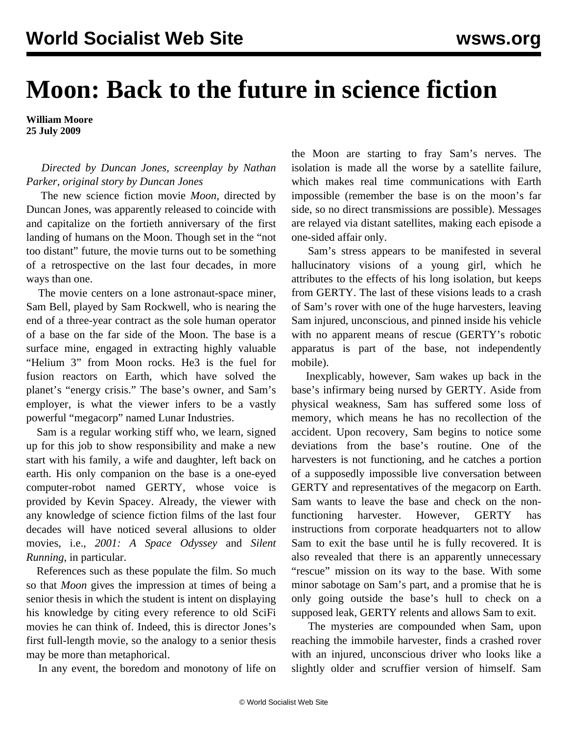## **Moon: Back to the future in science fiction**

**William Moore 25 July 2009**

 *Directed by Duncan Jones, screenplay by Nathan Parker, original story by Duncan Jones*

 The new science fiction movie *Moon*, directed by Duncan Jones, was apparently released to coincide with and capitalize on the fortieth anniversary of the first landing of humans on the Moon. Though set in the "not too distant" future, the movie turns out to be something of a retrospective on the last four decades, in more ways than one.

 The movie centers on a lone astronaut-space miner, Sam Bell, played by Sam Rockwell, who is nearing the end of a three-year contract as the sole human operator of a base on the far side of the Moon. The base is a surface mine, engaged in extracting highly valuable "Helium 3" from Moon rocks. He3 is the fuel for fusion reactors on Earth, which have solved the planet's "energy crisis." The base's owner, and Sam's employer, is what the viewer infers to be a vastly powerful "megacorp" named Lunar Industries.

 Sam is a regular working stiff who, we learn, signed up for this job to show responsibility and make a new start with his family, a wife and daughter, left back on earth. His only companion on the base is a one-eyed computer-robot named GERTY, whose voice is provided by Kevin Spacey. Already, the viewer with any knowledge of science fiction films of the last four decades will have noticed several allusions to older movies, i.e., *2001: A Space Odyssey* and *Silent Running*, in particular.

 References such as these populate the film. So much so that *Moon* gives the impression at times of being a senior thesis in which the student is intent on displaying his knowledge by citing every reference to old SciFi movies he can think of. Indeed, this is director Jones's first full-length movie, so the analogy to a senior thesis may be more than metaphorical.

In any event, the boredom and monotony of life on

the Moon are starting to fray Sam's nerves. The isolation is made all the worse by a satellite failure, which makes real time communications with Earth impossible (remember the base is on the moon's far side, so no direct transmissions are possible). Messages are relayed via distant satellites, making each episode a one-sided affair only.

 Sam's stress appears to be manifested in several hallucinatory visions of a young girl, which he attributes to the effects of his long isolation, but keeps from GERTY. The last of these visions leads to a crash of Sam's rover with one of the huge harvesters, leaving Sam injured, unconscious, and pinned inside his vehicle with no apparent means of rescue (GERTY's robotic apparatus is part of the base, not independently mobile).

 Inexplicably, however, Sam wakes up back in the base's infirmary being nursed by GERTY. Aside from physical weakness, Sam has suffered some loss of memory, which means he has no recollection of the accident. Upon recovery, Sam begins to notice some deviations from the base's routine. One of the harvesters is not functioning, and he catches a portion of a supposedly impossible live conversation between GERTY and representatives of the megacorp on Earth. Sam wants to leave the base and check on the nonfunctioning harvester. However, GERTY has instructions from corporate headquarters not to allow Sam to exit the base until he is fully recovered. It is also revealed that there is an apparently unnecessary "rescue" mission on its way to the base. With some minor sabotage on Sam's part, and a promise that he is only going outside the base's hull to check on a supposed leak, GERTY relents and allows Sam to exit.

 The mysteries are compounded when Sam, upon reaching the immobile harvester, finds a crashed rover with an injured, unconscious driver who looks like a slightly older and scruffier version of himself. Sam